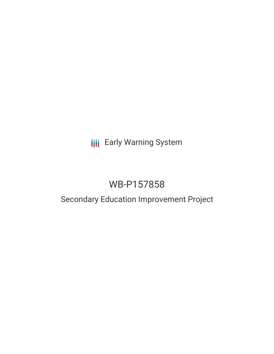# **III** Early Warning System

# WB-P157858

## Secondary Education Improvement Project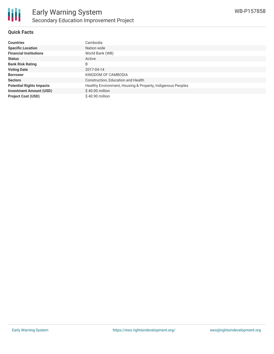

### **Quick Facts**

| <b>Countries</b>                | Cambodia                                                    |
|---------------------------------|-------------------------------------------------------------|
| <b>Specific Location</b>        | Nation wide                                                 |
| <b>Financial Institutions</b>   | World Bank (WB)                                             |
| <b>Status</b>                   | Active                                                      |
| <b>Bank Risk Rating</b>         | B                                                           |
| <b>Voting Date</b>              | 2017-04-14                                                  |
| <b>Borrower</b>                 | KINGDOM OF CAMBODIA                                         |
| <b>Sectors</b>                  | Construction, Education and Health                          |
| <b>Potential Rights Impacts</b> | Healthy Environment, Housing & Property, Indigenous Peoples |
| <b>Investment Amount (USD)</b>  | $$40.00$ million                                            |
| <b>Project Cost (USD)</b>       | $$40.90$ million                                            |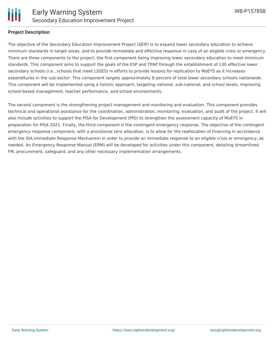

#### **Project Description**

The objective of the Secondary Education Improvement Project (SEIP) is to expand lower secondary education to achieve minimum standards in target areas, and to provide immediate and effective response in case of an eligible crisis or emergency. There are three components to the project, the first component being improving lower secondary education to meet minimum standards. This component aims to support the goals of the ESP and TPAP through the establishment of 130 effective lower secondary schools (i.e., schools that meet LSSES) in efforts to provide lessons for replication to MoEYS as it increases expenditures in the sub-sector. This component targets approximately 8 percent of total lower secondary schools nationwide. This component will be implemented using a holistic approach, targeting national, sub-national, and school levels, improving school-based management, teacher performance, and school environments.

The second component is the strengthening project management and monitoring and evaluation. This component provides technical and operational assistance for the coordination, administration, monitoring, evaluation, and audit of the project. It will also include activities to support the PISA for Development (PfD) to strengthen the assessment capacity of MoEYS in preparation for PISA 2021. Finally, the third component is the contingent emergency response. The objective of the contingent emergency response component, with a provisional zero allocation, is to allow for the reallocation of financing in accordance with the IDA Immediate Response Mechanism in order to provide an immediate response to an eligible crisis or emergency, as needed. An Emergency Response Manual (ERM) will be developed for activities under this component, detailing streamlined FM, procurement, safeguard, and any other necessary implementation arrangements.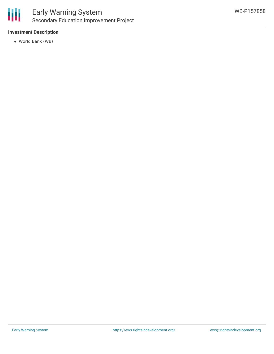

## Early Warning System Secondary Education Improvement Project

### **Investment Description**

World Bank (WB)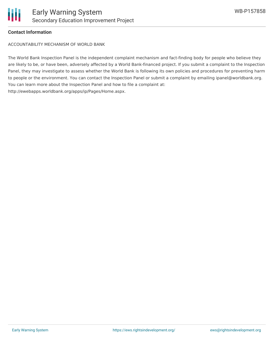

### **Contact Information**

ACCOUNTABILITY MECHANISM OF WORLD BANK

The World Bank Inspection Panel is the independent complaint mechanism and fact-finding body for people who believe they are likely to be, or have been, adversely affected by a World Bank-financed project. If you submit a complaint to the Inspection Panel, they may investigate to assess whether the World Bank is following its own policies and procedures for preventing harm to people or the environment. You can contact the Inspection Panel or submit a complaint by emailing ipanel@worldbank.org. You can learn more about the Inspection Panel and how to file a complaint at: http://ewebapps.worldbank.org/apps/ip/Pages/Home.aspx.